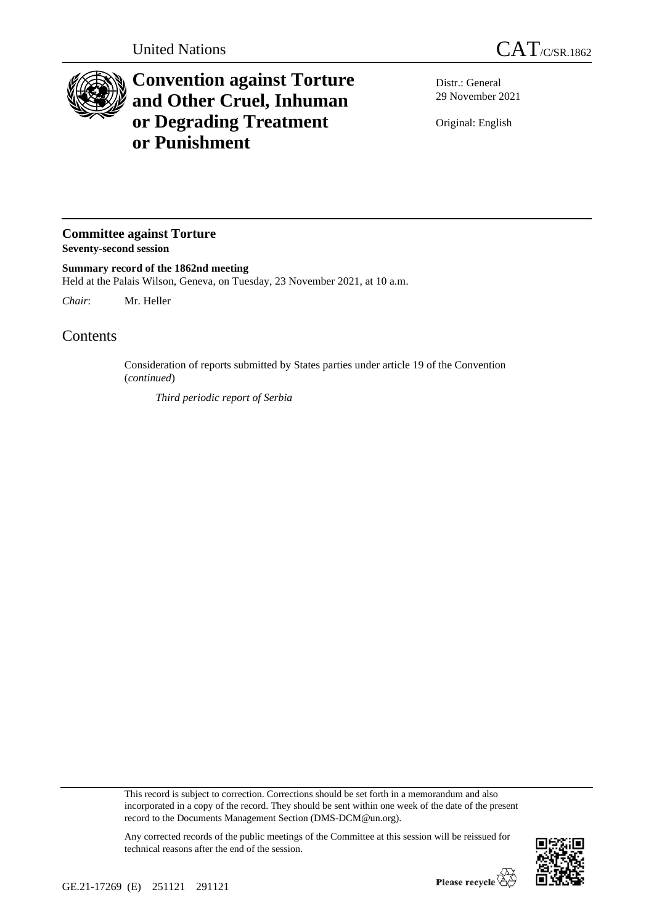

## **Convention against Torture and Other Cruel, Inhuman or Degrading Treatment or Punishment**

Distr.: General 29 November 2021

Original: English

**Committee against Torture Seventy-second session**

**Summary record of the 1862nd meeting** Held at the Palais Wilson, Geneva, on Tuesday, 23 November 2021, at 10 a.m.

*Chair*: Mr. Heller

Contents

Consideration of reports submitted by States parties under article 19 of the Convention (*continued*)

*Third periodic report of Serbia*

This record is subject to correction. Corrections should be set forth in a memorandum and also incorporated in a copy of the record. They should be sent within one week of the date of the present record to the Documents Management Section (DMS-DCM@un.org).



Any corrected records of the public meetings of the Committee at this session will be reissued for technical reasons after the end of the session.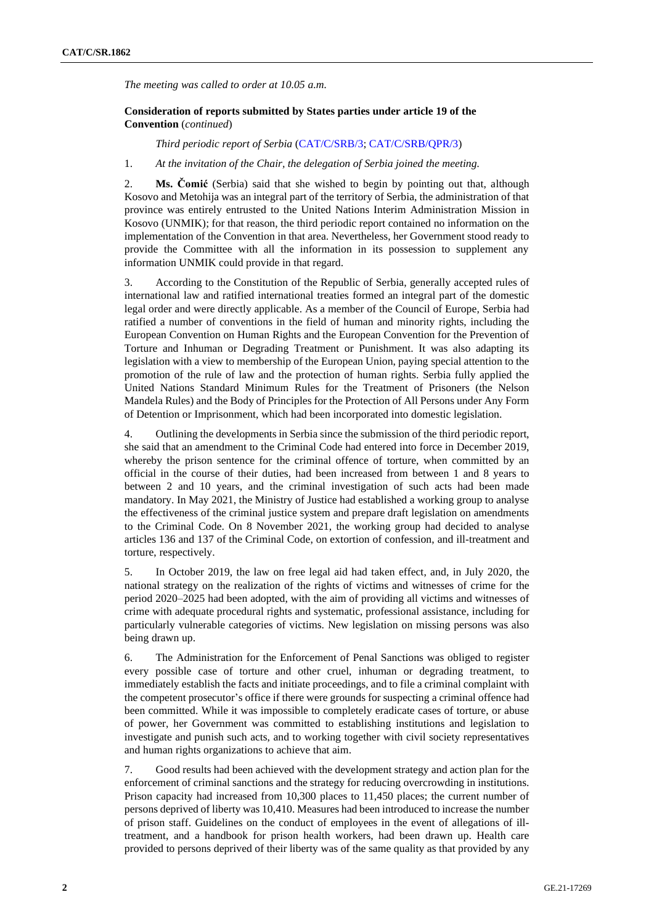*The meeting was called to order at 10.05 a.m.*

## **Consideration of reports submitted by States parties under article 19 of the Convention** (*continued*)

*Third periodic report of Serbia* [\(CAT/C/SRB/3;](http://undocs.org/en/CAT/C/SRB/3) [CAT/C/SRB/QPR/3\)](http://undocs.org/en/CAT/C/SRB/QPR/3)

1. *At the invitation of the Chair, the delegation of Serbia joined the meeting.*

2. **Ms. Čomić** (Serbia) said that she wished to begin by pointing out that, although Kosovo and Metohija was an integral part of the territory of Serbia, the administration of that province was entirely entrusted to the United Nations Interim Administration Mission in Kosovo (UNMIK); for that reason, the third periodic report contained no information on the implementation of the Convention in that area. Nevertheless, her Government stood ready to provide the Committee with all the information in its possession to supplement any information UNMIK could provide in that regard.

3. According to the Constitution of the Republic of Serbia, generally accepted rules of international law and ratified international treaties formed an integral part of the domestic legal order and were directly applicable. As a member of the Council of Europe, Serbia had ratified a number of conventions in the field of human and minority rights, including the European Convention on Human Rights and the European Convention for the Prevention of Torture and Inhuman or Degrading Treatment or Punishment. It was also adapting its legislation with a view to membership of the European Union, paying special attention to the promotion of the rule of law and the protection of human rights. Serbia fully applied the United Nations Standard Minimum Rules for the Treatment of Prisoners (the Nelson Mandela Rules) and the Body of Principles for the Protection of All Persons under Any Form of Detention or Imprisonment, which had been incorporated into domestic legislation.

4. Outlining the developments in Serbia since the submission of the third periodic report, she said that an amendment to the Criminal Code had entered into force in December 2019, whereby the prison sentence for the criminal offence of torture, when committed by an official in the course of their duties, had been increased from between 1 and 8 years to between 2 and 10 years, and the criminal investigation of such acts had been made mandatory. In May 2021, the Ministry of Justice had established a working group to analyse the effectiveness of the criminal justice system and prepare draft legislation on amendments to the Criminal Code. On 8 November 2021, the working group had decided to analyse articles 136 and 137 of the Criminal Code, on extortion of confession, and ill-treatment and torture, respectively.

5. In October 2019, the law on free legal aid had taken effect, and, in July 2020, the national strategy on the realization of the rights of victims and witnesses of crime for the period 2020–2025 had been adopted, with the aim of providing all victims and witnesses of crime with adequate procedural rights and systematic, professional assistance, including for particularly vulnerable categories of victims. New legislation on missing persons was also being drawn up.

6. The Administration for the Enforcement of Penal Sanctions was obliged to register every possible case of torture and other cruel, inhuman or degrading treatment, to immediately establish the facts and initiate proceedings, and to file a criminal complaint with the competent prosecutor's office if there were grounds for suspecting a criminal offence had been committed. While it was impossible to completely eradicate cases of torture, or abuse of power, her Government was committed to establishing institutions and legislation to investigate and punish such acts, and to working together with civil society representatives and human rights organizations to achieve that aim.

7. Good results had been achieved with the development strategy and action plan for the enforcement of criminal sanctions and the strategy for reducing overcrowding in institutions. Prison capacity had increased from 10,300 places to 11,450 places; the current number of persons deprived of liberty was 10,410. Measures had been introduced to increase the number of prison staff. Guidelines on the conduct of employees in the event of allegations of illtreatment, and a handbook for prison health workers, had been drawn up. Health care provided to persons deprived of their liberty was of the same quality as that provided by any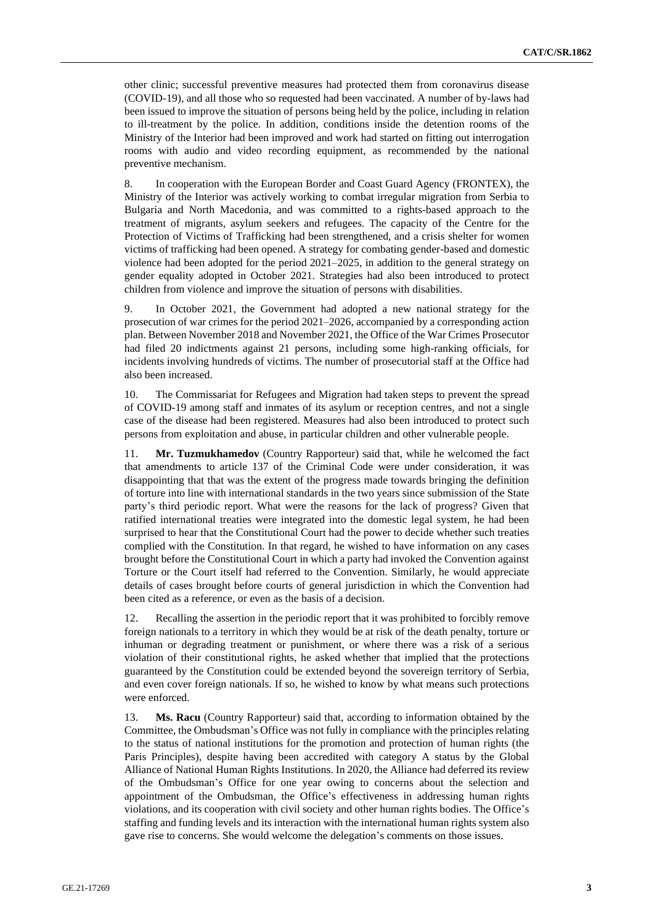other clinic; successful preventive measures had protected them from coronavirus disease (COVID-19), and all those who so requested had been vaccinated. A number of by-laws had been issued to improve the situation of persons being held by the police, including in relation to ill-treatment by the police. In addition, conditions inside the detention rooms of the Ministry of the Interior had been improved and work had started on fitting out interrogation rooms with audio and video recording equipment, as recommended by the national preventive mechanism.

8. In cooperation with the European Border and Coast Guard Agency (FRONTEX), the Ministry of the Interior was actively working to combat irregular migration from Serbia to Bulgaria and North Macedonia, and was committed to a rights-based approach to the treatment of migrants, asylum seekers and refugees. The capacity of the Centre for the Protection of Victims of Trafficking had been strengthened, and a crisis shelter for women victims of trafficking had been opened. A strategy for combating gender-based and domestic violence had been adopted for the period 2021–2025, in addition to the general strategy on gender equality adopted in October 2021. Strategies had also been introduced to protect children from violence and improve the situation of persons with disabilities.

9. In October 2021, the Government had adopted a new national strategy for the prosecution of war crimes for the period 2021–2026, accompanied by a corresponding action plan. Between November 2018 and November 2021, the Office of the War Crimes Prosecutor had filed 20 indictments against 21 persons, including some high-ranking officials, for incidents involving hundreds of victims. The number of prosecutorial staff at the Office had also been increased.

10. The Commissariat for Refugees and Migration had taken steps to prevent the spread of COVID-19 among staff and inmates of its asylum or reception centres, and not a single case of the disease had been registered. Measures had also been introduced to protect such persons from exploitation and abuse, in particular children and other vulnerable people.

11. **Mr. Tuzmukhamedov** (Country Rapporteur) said that, while he welcomed the fact that amendments to article 137 of the Criminal Code were under consideration, it was disappointing that that was the extent of the progress made towards bringing the definition of torture into line with international standards in the two years since submission of the State party's third periodic report. What were the reasons for the lack of progress? Given that ratified international treaties were integrated into the domestic legal system, he had been surprised to hear that the Constitutional Court had the power to decide whether such treaties complied with the Constitution. In that regard, he wished to have information on any cases brought before the Constitutional Court in which a party had invoked the Convention against Torture or the Court itself had referred to the Convention. Similarly, he would appreciate details of cases brought before courts of general jurisdiction in which the Convention had been cited as a reference, or even as the basis of a decision.

12. Recalling the assertion in the periodic report that it was prohibited to forcibly remove foreign nationals to a territory in which they would be at risk of the death penalty, torture or inhuman or degrading treatment or punishment, or where there was a risk of a serious violation of their constitutional rights, he asked whether that implied that the protections guaranteed by the Constitution could be extended beyond the sovereign territory of Serbia, and even cover foreign nationals. If so, he wished to know by what means such protections were enforced.

13. **Ms. Racu** (Country Rapporteur) said that, according to information obtained by the Committee, the Ombudsman's Office was not fully in compliance with the principles relating to the status of national institutions for the promotion and protection of human rights (the Paris Principles), despite having been accredited with category A status by the Global Alliance of National Human Rights Institutions. In 2020, the Alliance had deferred its review of the Ombudsman's Office for one year owing to concerns about the selection and appointment of the Ombudsman, the Office's effectiveness in addressing human rights violations, and its cooperation with civil society and other human rights bodies. The Office's staffing and funding levels and its interaction with the international human rights system also gave rise to concerns. She would welcome the delegation's comments on those issues.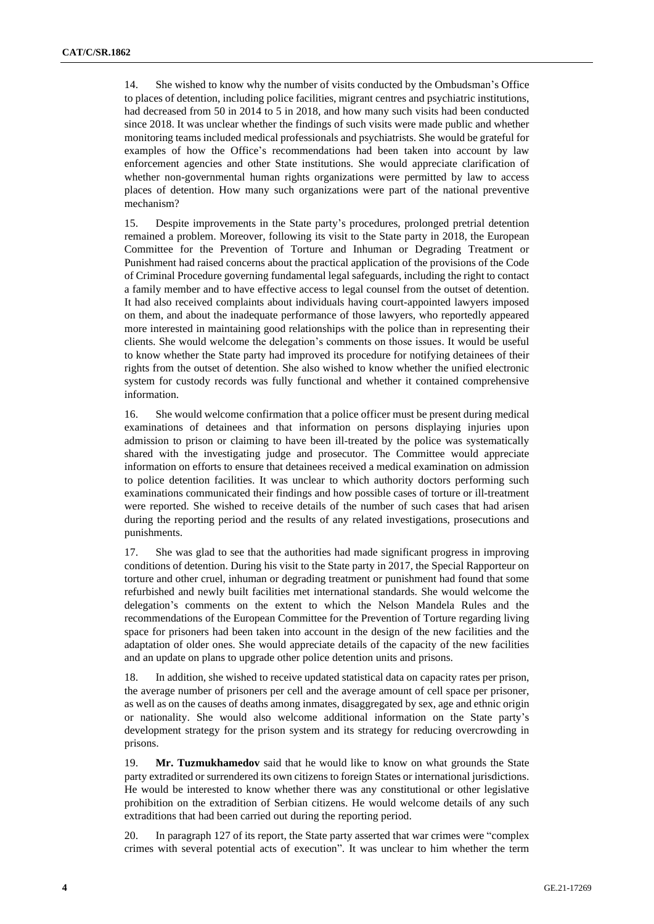14. She wished to know why the number of visits conducted by the Ombudsman's Office to places of detention, including police facilities, migrant centres and psychiatric institutions, had decreased from 50 in 2014 to 5 in 2018, and how many such visits had been conducted since 2018. It was unclear whether the findings of such visits were made public and whether monitoring teams included medical professionals and psychiatrists. She would be grateful for examples of how the Office's recommendations had been taken into account by law enforcement agencies and other State institutions. She would appreciate clarification of whether non-governmental human rights organizations were permitted by law to access places of detention. How many such organizations were part of the national preventive mechanism?

15. Despite improvements in the State party's procedures, prolonged pretrial detention remained a problem. Moreover, following its visit to the State party in 2018, the European Committee for the Prevention of Torture and Inhuman or Degrading Treatment or Punishment had raised concerns about the practical application of the provisions of the Code of Criminal Procedure governing fundamental legal safeguards, including the right to contact a family member and to have effective access to legal counsel from the outset of detention. It had also received complaints about individuals having court-appointed lawyers imposed on them, and about the inadequate performance of those lawyers, who reportedly appeared more interested in maintaining good relationships with the police than in representing their clients. She would welcome the delegation's comments on those issues. It would be useful to know whether the State party had improved its procedure for notifying detainees of their rights from the outset of detention. She also wished to know whether the unified electronic system for custody records was fully functional and whether it contained comprehensive information.

16. She would welcome confirmation that a police officer must be present during medical examinations of detainees and that information on persons displaying injuries upon admission to prison or claiming to have been ill-treated by the police was systematically shared with the investigating judge and prosecutor. The Committee would appreciate information on efforts to ensure that detainees received a medical examination on admission to police detention facilities. It was unclear to which authority doctors performing such examinations communicated their findings and how possible cases of torture or ill-treatment were reported. She wished to receive details of the number of such cases that had arisen during the reporting period and the results of any related investigations, prosecutions and punishments.

17. She was glad to see that the authorities had made significant progress in improving conditions of detention. During his visit to the State party in 2017, the Special Rapporteur on torture and other cruel, inhuman or degrading treatment or punishment had found that some refurbished and newly built facilities met international standards. She would welcome the delegation's comments on the extent to which the Nelson Mandela Rules and the recommendations of the European Committee for the Prevention of Torture regarding living space for prisoners had been taken into account in the design of the new facilities and the adaptation of older ones. She would appreciate details of the capacity of the new facilities and an update on plans to upgrade other police detention units and prisons.

18. In addition, she wished to receive updated statistical data on capacity rates per prison, the average number of prisoners per cell and the average amount of cell space per prisoner, as well as on the causes of deaths among inmates, disaggregated by sex, age and ethnic origin or nationality. She would also welcome additional information on the State party's development strategy for the prison system and its strategy for reducing overcrowding in prisons.

19. **Mr. Tuzmukhamedov** said that he would like to know on what grounds the State party extradited or surrendered its own citizens to foreign States or international jurisdictions. He would be interested to know whether there was any constitutional or other legislative prohibition on the extradition of Serbian citizens. He would welcome details of any such extraditions that had been carried out during the reporting period.

20. In paragraph 127 of its report, the State party asserted that war crimes were "complex crimes with several potential acts of execution". It was unclear to him whether the term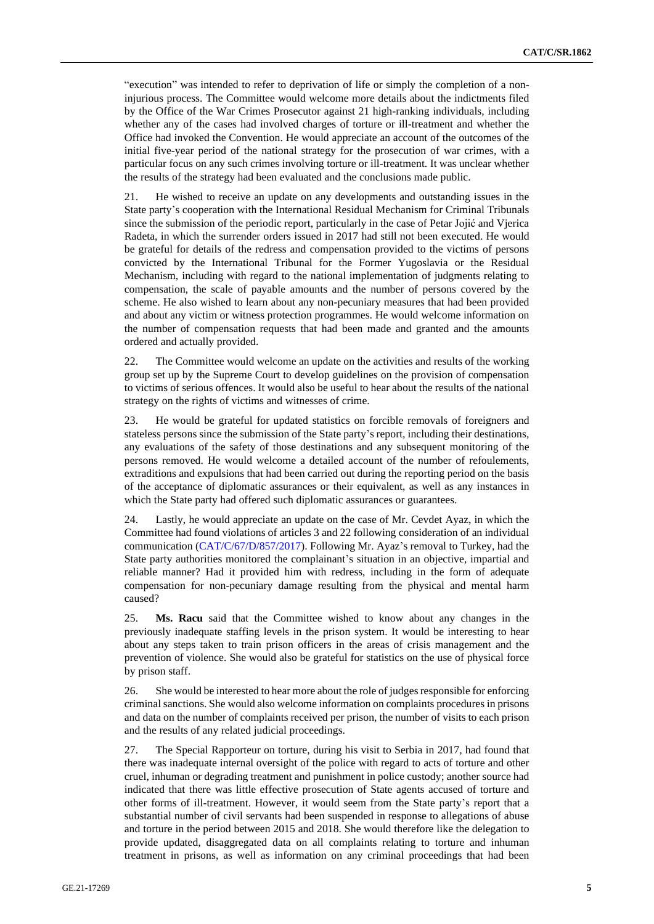"execution" was intended to refer to deprivation of life or simply the completion of a noninjurious process. The Committee would welcome more details about the indictments filed by the Office of the War Crimes Prosecutor against 21 high-ranking individuals, including whether any of the cases had involved charges of torture or ill-treatment and whether the Office had invoked the Convention. He would appreciate an account of the outcomes of the initial five-year period of the national strategy for the prosecution of war crimes, with a particular focus on any such crimes involving torture or ill-treatment. It was unclear whether the results of the strategy had been evaluated and the conclusions made public.

21. He wished to receive an update on any developments and outstanding issues in the State party's cooperation with the International Residual Mechanism for Criminal Tribunals since the submission of the periodic report, particularly in the case of Petar Jojić and Vjerica Radeta, in which the surrender orders issued in 2017 had still not been executed. He would be grateful for details of the redress and compensation provided to the victims of persons convicted by the International Tribunal for the Former Yugoslavia or the Residual Mechanism, including with regard to the national implementation of judgments relating to compensation, the scale of payable amounts and the number of persons covered by the scheme. He also wished to learn about any non-pecuniary measures that had been provided and about any victim or witness protection programmes. He would welcome information on the number of compensation requests that had been made and granted and the amounts ordered and actually provided.

22. The Committee would welcome an update on the activities and results of the working group set up by the Supreme Court to develop guidelines on the provision of compensation to victims of serious offences. It would also be useful to hear about the results of the national strategy on the rights of victims and witnesses of crime.

23. He would be grateful for updated statistics on forcible removals of foreigners and stateless persons since the submission of the State party's report, including their destinations, any evaluations of the safety of those destinations and any subsequent monitoring of the persons removed. He would welcome a detailed account of the number of refoulements, extraditions and expulsions that had been carried out during the reporting period on the basis of the acceptance of diplomatic assurances or their equivalent, as well as any instances in which the State party had offered such diplomatic assurances or guarantees.

24. Lastly, he would appreciate an update on the case of Mr. Cevdet Ayaz, in which the Committee had found violations of articles 3 and 22 following consideration of an individual communication [\(CAT/C/67/D/857/2017\)](http://undocs.org/en/CAT/C/67/D/857/2017). Following Mr. Ayaz's removal to Turkey, had the State party authorities monitored the complainant's situation in an objective, impartial and reliable manner? Had it provided him with redress, including in the form of adequate compensation for non-pecuniary damage resulting from the physical and mental harm caused?

25. **Ms. Racu** said that the Committee wished to know about any changes in the previously inadequate staffing levels in the prison system. It would be interesting to hear about any steps taken to train prison officers in the areas of crisis management and the prevention of violence. She would also be grateful for statistics on the use of physical force by prison staff.

26. She would be interested to hear more about the role of judgesresponsible for enforcing criminal sanctions. She would also welcome information on complaints procedures in prisons and data on the number of complaints received per prison, the number of visits to each prison and the results of any related judicial proceedings.

27. The Special Rapporteur on torture, during his visit to Serbia in 2017, had found that there was inadequate internal oversight of the police with regard to acts of torture and other cruel, inhuman or degrading treatment and punishment in police custody; another source had indicated that there was little effective prosecution of State agents accused of torture and other forms of ill-treatment. However, it would seem from the State party's report that a substantial number of civil servants had been suspended in response to allegations of abuse and torture in the period between 2015 and 2018. She would therefore like the delegation to provide updated, disaggregated data on all complaints relating to torture and inhuman treatment in prisons, as well as information on any criminal proceedings that had been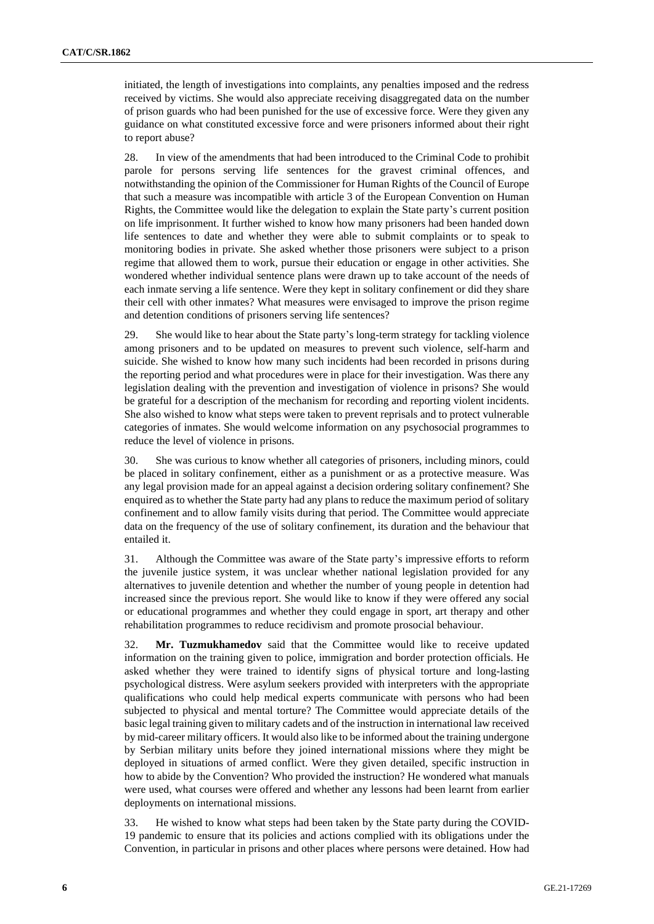initiated, the length of investigations into complaints, any penalties imposed and the redress received by victims. She would also appreciate receiving disaggregated data on the number of prison guards who had been punished for the use of excessive force. Were they given any guidance on what constituted excessive force and were prisoners informed about their right to report abuse?

28. In view of the amendments that had been introduced to the Criminal Code to prohibit parole for persons serving life sentences for the gravest criminal offences, and notwithstanding the opinion of the Commissioner for Human Rights of the Council of Europe that such a measure was incompatible with article 3 of the European Convention on Human Rights, the Committee would like the delegation to explain the State party's current position on life imprisonment. It further wished to know how many prisoners had been handed down life sentences to date and whether they were able to submit complaints or to speak to monitoring bodies in private. She asked whether those prisoners were subject to a prison regime that allowed them to work, pursue their education or engage in other activities. She wondered whether individual sentence plans were drawn up to take account of the needs of each inmate serving a life sentence. Were they kept in solitary confinement or did they share their cell with other inmates? What measures were envisaged to improve the prison regime and detention conditions of prisoners serving life sentences?

29. She would like to hear about the State party's long-term strategy for tackling violence among prisoners and to be updated on measures to prevent such violence, self-harm and suicide. She wished to know how many such incidents had been recorded in prisons during the reporting period and what procedures were in place for their investigation. Was there any legislation dealing with the prevention and investigation of violence in prisons? She would be grateful for a description of the mechanism for recording and reporting violent incidents. She also wished to know what steps were taken to prevent reprisals and to protect vulnerable categories of inmates. She would welcome information on any psychosocial programmes to reduce the level of violence in prisons.

30. She was curious to know whether all categories of prisoners, including minors, could be placed in solitary confinement, either as a punishment or as a protective measure. Was any legal provision made for an appeal against a decision ordering solitary confinement? She enquired as to whether the State party had any plans to reduce the maximum period of solitary confinement and to allow family visits during that period. The Committee would appreciate data on the frequency of the use of solitary confinement, its duration and the behaviour that entailed it.

31. Although the Committee was aware of the State party's impressive efforts to reform the juvenile justice system, it was unclear whether national legislation provided for any alternatives to juvenile detention and whether the number of young people in detention had increased since the previous report. She would like to know if they were offered any social or educational programmes and whether they could engage in sport, art therapy and other rehabilitation programmes to reduce recidivism and promote prosocial behaviour.

32. **Mr. Tuzmukhamedov** said that the Committee would like to receive updated information on the training given to police, immigration and border protection officials. He asked whether they were trained to identify signs of physical torture and long-lasting psychological distress. Were asylum seekers provided with interpreters with the appropriate qualifications who could help medical experts communicate with persons who had been subjected to physical and mental torture? The Committee would appreciate details of the basic legal training given to military cadets and of the instruction in international law received by mid-career military officers. It would also like to be informed about the training undergone by Serbian military units before they joined international missions where they might be deployed in situations of armed conflict. Were they given detailed, specific instruction in how to abide by the Convention? Who provided the instruction? He wondered what manuals were used, what courses were offered and whether any lessons had been learnt from earlier deployments on international missions.

33. He wished to know what steps had been taken by the State party during the COVID-19 pandemic to ensure that its policies and actions complied with its obligations under the Convention, in particular in prisons and other places where persons were detained. How had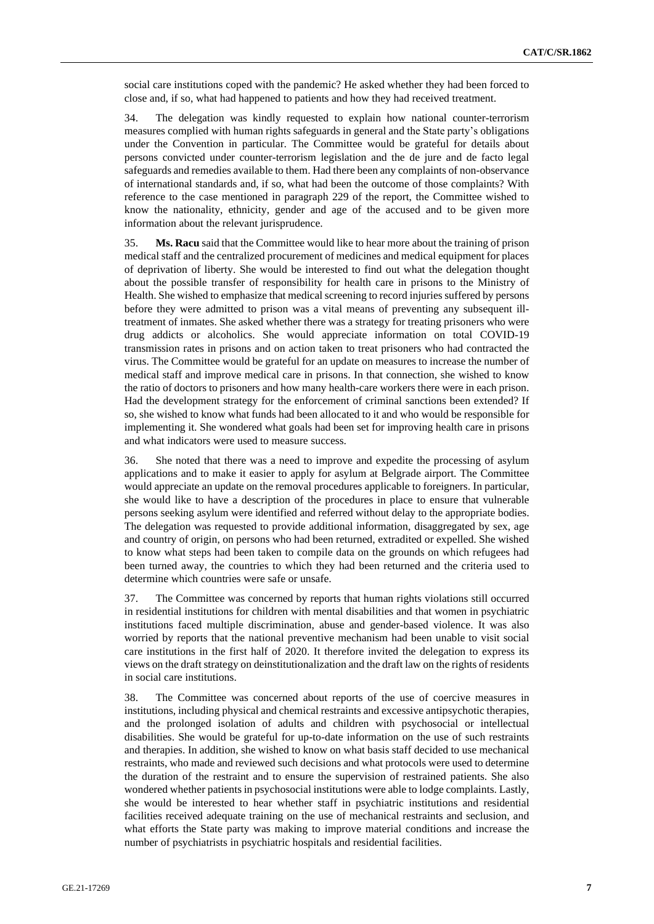social care institutions coped with the pandemic? He asked whether they had been forced to close and, if so, what had happened to patients and how they had received treatment.

34. The delegation was kindly requested to explain how national counter-terrorism measures complied with human rights safeguards in general and the State party's obligations under the Convention in particular. The Committee would be grateful for details about persons convicted under counter-terrorism legislation and the de jure and de facto legal safeguards and remedies available to them. Had there been any complaints of non-observance of international standards and, if so, what had been the outcome of those complaints? With reference to the case mentioned in paragraph 229 of the report, the Committee wished to know the nationality, ethnicity, gender and age of the accused and to be given more information about the relevant jurisprudence.

35. **Ms. Racu** said that the Committee would like to hear more about the training of prison medical staff and the centralized procurement of medicines and medical equipment for places of deprivation of liberty. She would be interested to find out what the delegation thought about the possible transfer of responsibility for health care in prisons to the Ministry of Health. She wished to emphasize that medical screening to record injuries suffered by persons before they were admitted to prison was a vital means of preventing any subsequent illtreatment of inmates. She asked whether there was a strategy for treating prisoners who were drug addicts or alcoholics. She would appreciate information on total COVID-19 transmission rates in prisons and on action taken to treat prisoners who had contracted the virus. The Committee would be grateful for an update on measures to increase the number of medical staff and improve medical care in prisons. In that connection, she wished to know the ratio of doctors to prisoners and how many health-care workers there were in each prison. Had the development strategy for the enforcement of criminal sanctions been extended? If so, she wished to know what funds had been allocated to it and who would be responsible for implementing it. She wondered what goals had been set for improving health care in prisons and what indicators were used to measure success.

36. She noted that there was a need to improve and expedite the processing of asylum applications and to make it easier to apply for asylum at Belgrade airport. The Committee would appreciate an update on the removal procedures applicable to foreigners. In particular, she would like to have a description of the procedures in place to ensure that vulnerable persons seeking asylum were identified and referred without delay to the appropriate bodies. The delegation was requested to provide additional information, disaggregated by sex, age and country of origin, on persons who had been returned, extradited or expelled. She wished to know what steps had been taken to compile data on the grounds on which refugees had been turned away, the countries to which they had been returned and the criteria used to determine which countries were safe or unsafe.

37. The Committee was concerned by reports that human rights violations still occurred in residential institutions for children with mental disabilities and that women in psychiatric institutions faced multiple discrimination, abuse and gender-based violence. It was also worried by reports that the national preventive mechanism had been unable to visit social care institutions in the first half of 2020. It therefore invited the delegation to express its views on the draft strategy on deinstitutionalization and the draft law on the rights of residents in social care institutions.

38. The Committee was concerned about reports of the use of coercive measures in institutions, including physical and chemical restraints and excessive antipsychotic therapies, and the prolonged isolation of adults and children with psychosocial or intellectual disabilities. She would be grateful for up-to-date information on the use of such restraints and therapies. In addition, she wished to know on what basis staff decided to use mechanical restraints, who made and reviewed such decisions and what protocols were used to determine the duration of the restraint and to ensure the supervision of restrained patients. She also wondered whether patients in psychosocial institutions were able to lodge complaints. Lastly, she would be interested to hear whether staff in psychiatric institutions and residential facilities received adequate training on the use of mechanical restraints and seclusion, and what efforts the State party was making to improve material conditions and increase the number of psychiatrists in psychiatric hospitals and residential facilities.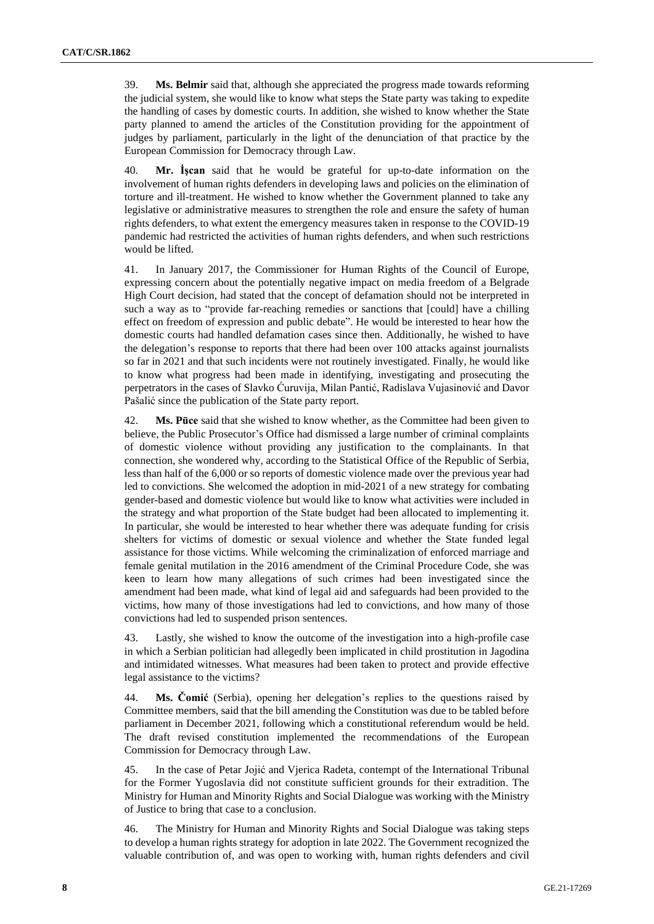39. **Ms. Belmir** said that, although she appreciated the progress made towards reforming the judicial system, she would like to know what steps the State party was taking to expedite the handling of cases by domestic courts. In addition, she wished to know whether the State party planned to amend the articles of the Constitution providing for the appointment of judges by parliament, particularly in the light of the denunciation of that practice by the European Commission for Democracy through Law.

40. **Mr. İşcan** said that he would be grateful for up-to-date information on the involvement of human rights defenders in developing laws and policies on the elimination of torture and ill-treatment. He wished to know whether the Government planned to take any legislative or administrative measures to strengthen the role and ensure the safety of human rights defenders, to what extent the emergency measures taken in response to the COVID-19 pandemic had restricted the activities of human rights defenders, and when such restrictions would be lifted.

41. In January 2017, the Commissioner for Human Rights of the Council of Europe, expressing concern about the potentially negative impact on media freedom of a Belgrade High Court decision, had stated that the concept of defamation should not be interpreted in such a way as to "provide far-reaching remedies or sanctions that [could] have a chilling effect on freedom of expression and public debate". He would be interested to hear how the domestic courts had handled defamation cases since then. Additionally, he wished to have the delegation's response to reports that there had been over 100 attacks against journalists so far in 2021 and that such incidents were not routinely investigated. Finally, he would like to know what progress had been made in identifying, investigating and prosecuting the perpetrators in the cases of Slavko Ćuruvija, Milan Pantić, Radislava Vujasinović and Davor Pašalić since the publication of the State party report.

42. **Ms. Pūce** said that she wished to know whether, as the Committee had been given to believe, the Public Prosecutor's Office had dismissed a large number of criminal complaints of domestic violence without providing any justification to the complainants. In that connection, she wondered why, according to the Statistical Office of the Republic of Serbia, less than half of the 6,000 or so reports of domestic violence made over the previous year had led to convictions. She welcomed the adoption in mid-2021 of a new strategy for combating gender-based and domestic violence but would like to know what activities were included in the strategy and what proportion of the State budget had been allocated to implementing it. In particular, she would be interested to hear whether there was adequate funding for crisis shelters for victims of domestic or sexual violence and whether the State funded legal assistance for those victims. While welcoming the criminalization of enforced marriage and female genital mutilation in the 2016 amendment of the Criminal Procedure Code, she was keen to learn how many allegations of such crimes had been investigated since the amendment had been made, what kind of legal aid and safeguards had been provided to the victims, how many of those investigations had led to convictions, and how many of those convictions had led to suspended prison sentences.

43. Lastly, she wished to know the outcome of the investigation into a high-profile case in which a Serbian politician had allegedly been implicated in child prostitution in Jagodina and intimidated witnesses. What measures had been taken to protect and provide effective legal assistance to the victims?

44. **Ms. Čomić** (Serbia), opening her delegation's replies to the questions raised by Committee members, said that the bill amending the Constitution was due to be tabled before parliament in December 2021, following which a constitutional referendum would be held. The draft revised constitution implemented the recommendations of the European Commission for Democracy through Law.

45. In the case of Petar Jojić and Vjerica Radeta, contempt of the International Tribunal for the Former Yugoslavia did not constitute sufficient grounds for their extradition. The Ministry for Human and Minority Rights and Social Dialogue was working with the Ministry of Justice to bring that case to a conclusion.

46. The Ministry for Human and Minority Rights and Social Dialogue was taking steps to develop a human rights strategy for adoption in late 2022. The Government recognized the valuable contribution of, and was open to working with, human rights defenders and civil